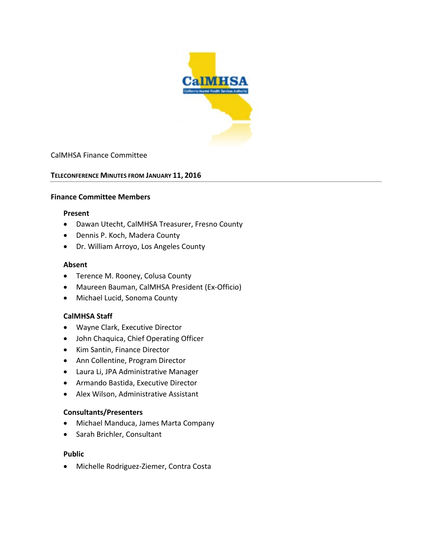

### CalMHSA Finance Committee

### **TELECONFERENCE MINUTES FROM JANUARY 11, 2016**

#### **Finance Committee Members**

#### **Present**

- Dawan Utecht, CalMHSA Treasurer, Fresno County
- Dennis P. Koch, Madera County
- Dr. William Arroyo, Los Angeles County

#### **Absent**

- Terence M. Rooney, Colusa County
- Maureen Bauman, CalMHSA President (Ex-Officio)
- Michael Lucid, Sonoma County

### **CalMHSA Staff**

- Wayne Clark, Executive Director
- John Chaquica, Chief Operating Officer
- Kim Santin, Finance Director
- Ann Collentine, Program Director
- Laura Li, JPA Administrative Manager
- Armando Bastida, Executive Director
- Alex Wilson, Administrative Assistant

### **Consultants/Presenters**

- Michael Manduca, James Marta Company
- Sarah Brichler, Consultant

### **Public**

• Michelle Rodriguez-Ziemer, Contra Costa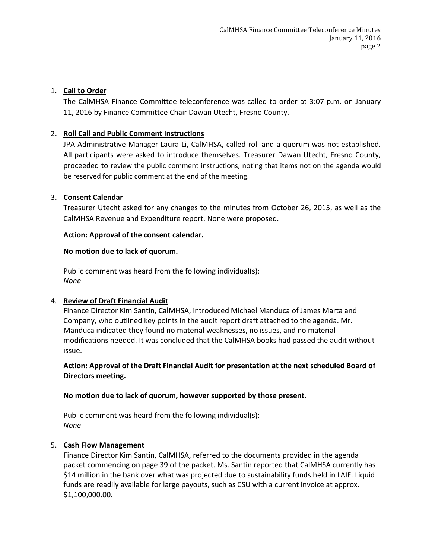## 1. **Call to Order**

The CalMHSA Finance Committee teleconference was called to order at 3:07 p.m. on January 11, 2016 by Finance Committee Chair Dawan Utecht, Fresno County.

## 2. **Roll Call and Public Comment Instructions**

JPA Administrative Manager Laura Li, CalMHSA, called roll and a quorum was not established. All participants were asked to introduce themselves. Treasurer Dawan Utecht, Fresno County, proceeded to review the public comment instructions, noting that items not on the agenda would be reserved for public comment at the end of the meeting.

## 3. **Consent Calendar**

Treasurer Utecht asked for any changes to the minutes from October 26, 2015, as well as the CalMHSA Revenue and Expenditure report. None were proposed.

## **Action: Approval of the consent calendar.**

## **No motion due to lack of quorum.**

Public comment was heard from the following individual(s): *None*

## 4. **Review of Draft Financial Audit**

Finance Director Kim Santin, CalMHSA, introduced Michael Manduca of James Marta and Company, who outlined key points in the audit report draft attached to the agenda. Mr. Manduca indicated they found no material weaknesses, no issues, and no material modifications needed. It was concluded that the CalMHSA books had passed the audit without issue.

**Action: Approval of the Draft Financial Audit for presentation at the next scheduled Board of Directors meeting.**

## **No motion due to lack of quorum, however supported by those present.**

Public comment was heard from the following individual(s): *None*

## 5. **Cash Flow Management**

Finance Director Kim Santin, CalMHSA, referred to the documents provided in the agenda packet commencing on page 39 of the packet. Ms. Santin reported that CalMHSA currently has \$14 million in the bank over what was projected due to sustainability funds held in LAIF. Liquid funds are readily available for large payouts, such as CSU with a current invoice at approx. \$1,100,000.00.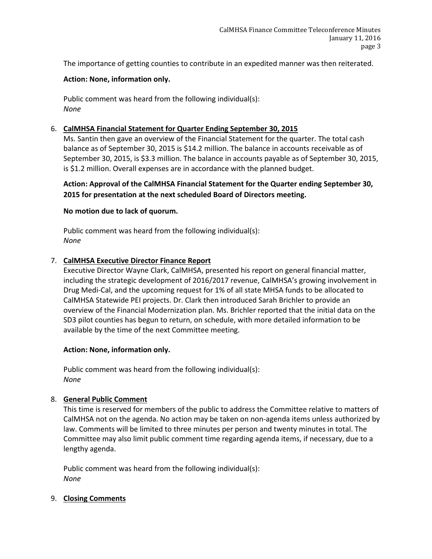The importance of getting counties to contribute in an expedited manner was then reiterated.

## **Action: None, information only.**

Public comment was heard from the following individual(s): *None*

## 6. **CalMHSA Financial Statement for Quarter Ending September 30, 2015**

Ms. Santin then gave an overview of the Financial Statement for the quarter. The total cash balance as of September 30, 2015 is \$14.2 million. The balance in accounts receivable as of September 30, 2015, is \$3.3 million. The balance in accounts payable as of September 30, 2015, is \$1.2 million. Overall expenses are in accordance with the planned budget.

**Action: Approval of the CalMHSA Financial Statement for the Quarter ending September 30, 2015 for presentation at the next scheduled Board of Directors meeting.**

### **No motion due to lack of quorum.**

Public comment was heard from the following individual(s): *None*

### 7. **CalMHSA Executive Director Finance Report**

Executive Director Wayne Clark, CalMHSA, presented his report on general financial matter, including the strategic development of 2016/2017 revenue, CalMHSA's growing involvement in Drug Medi-Cal, and the upcoming request for 1% of all state MHSA funds to be allocated to CalMHSA Statewide PEI projects. Dr. Clark then introduced Sarah Brichler to provide an overview of the Financial Modernization plan. Ms. Brichler reported that the initial data on the SD3 pilot counties has begun to return, on schedule, with more detailed information to be available by the time of the next Committee meeting.

### **Action: None, information only.**

Public comment was heard from the following individual(s): *None*

## 8. **General Public Comment**

This time is reserved for members of the public to address the Committee relative to matters of CalMHSA not on the agenda. No action may be taken on non-agenda items unless authorized by law. Comments will be limited to three minutes per person and twenty minutes in total. The Committee may also limit public comment time regarding agenda items, if necessary, due to a lengthy agenda.

Public comment was heard from the following individual(s): *None*

### 9. **Closing Comments**